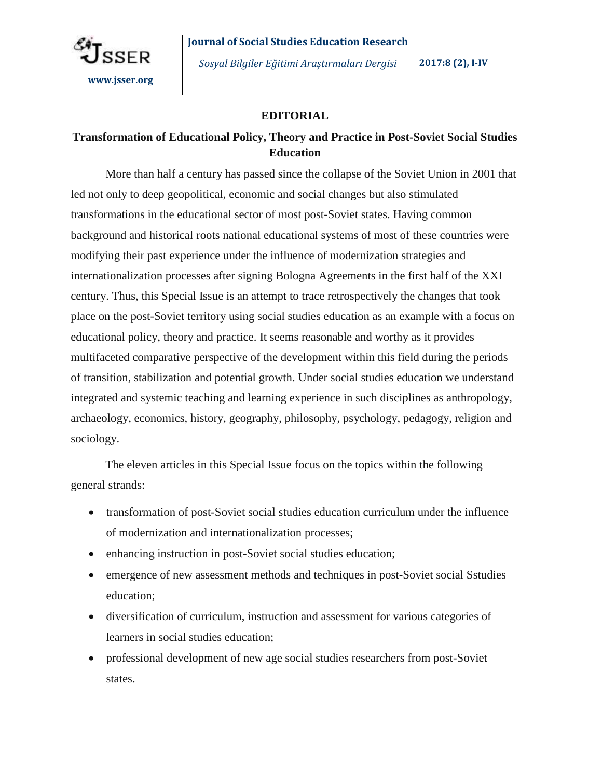

## **EDITORIAL**

## **Transformation of Educational Policy, Theory and Practice in Post-Soviet Social Studies Education**

More than half a century has passed since the collapse of the Soviet Union in 2001 that led not only to deep geopolitical, economic and social changes but also stimulated transformations in the educational sector of most post-Soviet states. Having common background and historical roots national educational systems of most of these countries were modifying their past experience under the influence of modernization strategies and internationalization processes after signing Bologna Agreements in the first half of the XXI century. Thus, this Special Issue is an attempt to trace retrospectively the changes that took place on the post-Soviet territory using social studies education as an example with a focus on educational policy, theory and practice. It seems reasonable and worthy as it provides multifaceted comparative perspective of the development within this field during the periods of transition, stabilization and potential growth. Under social studies education we understand integrated and systemic teaching and learning experience in such disciplines as anthropology, archaeology, economics, history, geography, philosophy, psychology, pedagogy, religion and sociology.

The eleven articles in this Special Issue focus on the topics within the following general strands:

- transformation of post-Soviet social studies education curriculum under the influence of modernization and internationalization processes;
- enhancing instruction in post-Soviet social studies education;
- emergence of new assessment methods and techniques in post-Soviet social Sstudies education;
- diversification of curriculum, instruction and assessment for various categories of learners in social studies education;
- professional development of new age social studies researchers from post-Soviet states.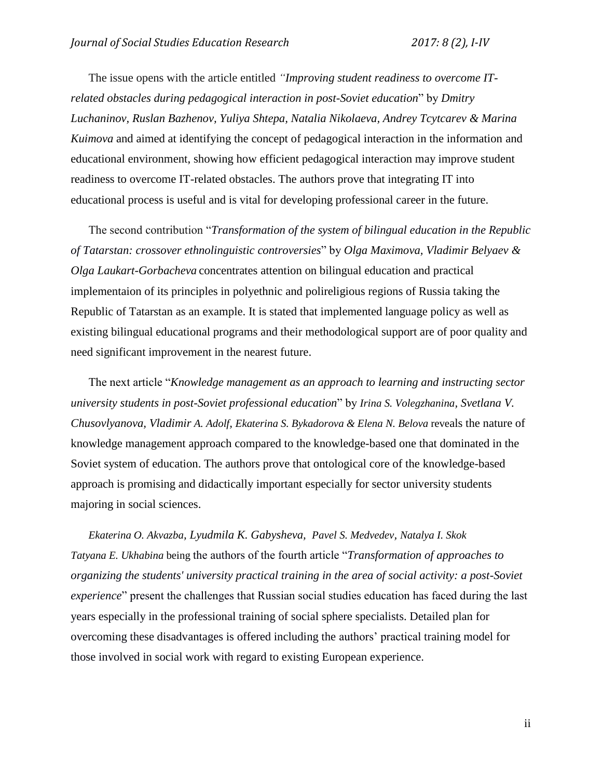The issue opens with the article entitled *"Improving student readiness to overcome ITrelated obstacles during pedagogical interaction in post-Soviet education*" by *Dmitry Luchaninov, Ruslan Bazhenov, Yuliya Shtepa, Natalia Nikolaeva, Andrey Tcytcarev & Marina Kuimova* and aimed at identifying the concept of pedagogical interaction in the information and educational environment, showing how efficient pedagogical interaction may improve student readiness to overcome IT-related obstacles. The authors prove that integrating IT into educational process is useful and is vital for developing professional career in the future.

The second contribution "*Transformation of the system of bilingual education in the Republic of Tatarstan: crossover ethnolinguistic controversies*" by *Olga Maximova, Vladimir Belyaev & Olga Laukart-Gorbacheva* concentrates attention on bilingual education and practical implementaion of its principles in polyethnic and polireligious regions of Russia taking the Republic of Tatarstan as an example. It is stated that implemented language policy as well as existing bilingual educational programs and their methodological support are of poor quality and need significant improvement in the nearest future.

The next article "*Knowledge management as an approach to learning and instructing sector university students in post-Soviet professional education*" by *Irina S. Volegzhanina, Svetlana V. Chusovlyanova, Vladimir A. Adolf, Ekaterina S. Bykadorova & Elena N. Belova* reveals the nature of knowledge management approach compared to the knowledge-based one that dominated in the Soviet system of education. The authors prove that ontological core of the knowledge-based approach is promising and didactically important especially for sector university students majoring in social sciences.

*Ekaterina O. Akvazba, Lyudmila K. Gabysheva, Pavel S. Medvedev, Natalya I. Skok Tatyana E. Ukhabina* being the authors of the fourth article "*Transformation of approaches to organizing the students' university practical training in the area of social activity: a post-Soviet experience*" present the challenges that Russian social studies education has faced during the last years especially in the professional training of social sphere specialists. Detailed plan for overcoming these disadvantages is offered including the authors' practical training model for those involved in social work with regard to existing European experience.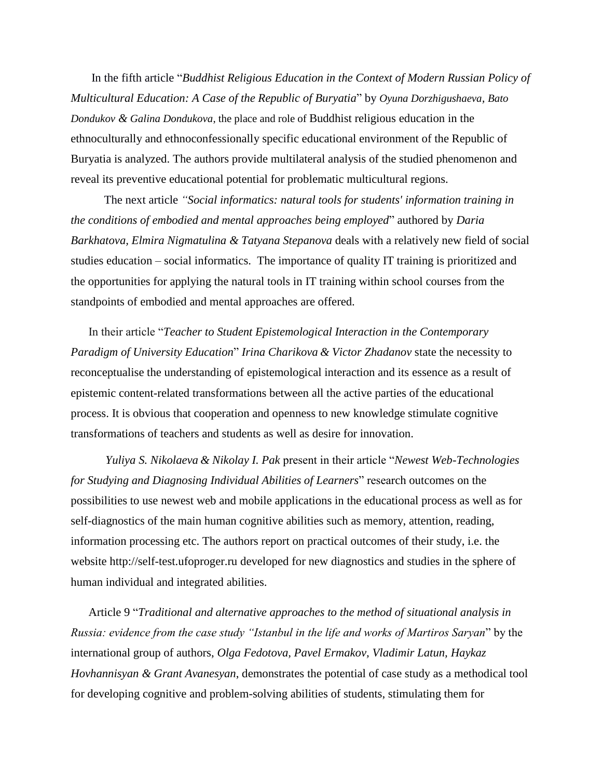In the fifth article "*Buddhist Religious Education in the Context of Modern Russian Policy of Multicultural Education: A Case of the Republic of Buryatia*" by *Oyuna Dorzhigushaeva, Bato Dondukov & Galina Dondukova*, the place and role of Buddhist religious education in the ethnoculturally and ethnoconfessionally specific educational environment of the Republic of Buryatia is analyzed. The authors provide multilateral analysis of the studied phenomenon and reveal its preventive educational potential for problematic multicultural regions.

The next article *"Social informatics: natural tools for students' information training in the conditions of embodied and mental approaches being employed*" authored by *Daria Barkhatova, Elmira Nigmatulina & Tatyana Stepanova* deals with a relatively new field of social studies education – social informatics. The importance of quality IT training is prioritized and the opportunities for applying the natural tools in IT training within school courses from the standpoints of embodied and mental approaches are offered.

In their article "*Teacher to Student Epistemological Interaction in the Contemporary Paradigm of University Education*" *Irina Charikova & Victor Zhadanov* state the necessity to reconceptualise the understanding of epistemological interaction and its essence as a result of epistemic content-related transformations between all the active parties of the educational process. It is obvious that cooperation and openness to new knowledge stimulate cognitive transformations of teachers and students as well as desire for innovation.

*Yuliya S. Nikolaeva & Nikolay I. Pak* present in their article "*Newest Web-Technologies for Studying and Diagnosing Individual Abilities of Learners*" research outcomes on the possibilities to use newest web and mobile applications in the educational process as well as for self-diagnostics of the main human cognitive abilities such as memory, attention, reading, information processing etc. The authors report on practical outcomes of their study, i.e. the website [http://self-test.ufoproger.ru](http://self-test.ufoproger.ru/) developed for new diagnostics and studies in the sphere of human individual and integrated abilities.

Article 9 "*Traditional and alternative approaches to the method of situational analysis in Russia: evidence from the case study "Istanbul in the life and works of Martiros Saryan*" by the international group of authors, *Olga Fedotova, Pavel Ermakov, Vladimir Latun, Haykaz Hovhannisyan & Grant Avanesyan*, demonstrates the potential of case study as a methodical tool for developing cognitive and problem-solving abilities of students, stimulating them for